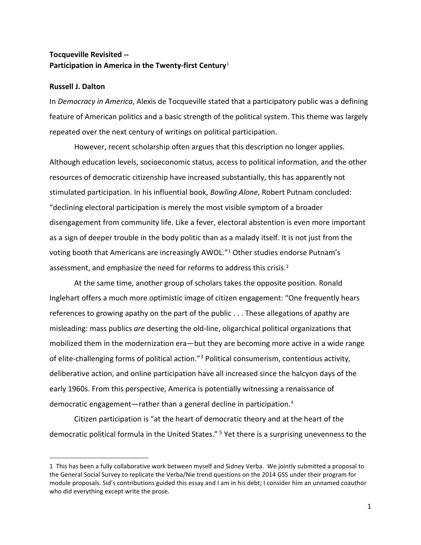# **Tocqueville Revisited -- Participation in America in the Twenty-first Century**[1](#page-0-0)

### **Russell J. Dalton**

 $\overline{\phantom{a}}$ 

In *Democracy in America*, Alexis de Tocqueville stated that a participatory public was a defining feature of American politics and a basic strength of the political system. This theme was largely repeated over the next century of writings on political participation.

However, recent scholarship often argues that this description no longer applies. Although education levels, socioeconomic status, access to political information, and the other resources of democratic citizenship have increased substantially, this has apparently not stimulated participation. In his influential book, *Bowling Alone*, Robert Putnam concluded: "declining electoral participation is merely the most visible symptom of a broader disengagement from community life. Like a fever, electoral abstention is even more important as a sign of deeper trouble in the body politic than as a malady itself. It is not just from the voting booth that Americans are increasingly AWOL."[1](#page-14-0) Other studies endorse Putnam's assessment, and emphasize the need for reforms to address this crisis.<sup>[2](#page-14-1)</sup>

At the same time, another group of scholars takes the opposite position. Ronald Inglehart offers a much more optimistic image of citizen engagement: "One frequently hears references to growing apathy on the part of the public . . . These allegations of apathy are misleading: mass publics *are* deserting the old-line, oligarchical political organizations that mobilized them in the modernization era—but they are becoming more active in a wide range of elite-challenging forms of political action."[3](#page-14-2) Political consumerism, contentious activity, deliberative action, and online participation have all increased since the halcyon days of the early 1960s. From this perspective, America is potentially witnessing a renaissance of democratic engagement—rather than a general decline in participation.[4](#page-14-3)

Citizen participation is "at the heart of democratic theory and at the heart of the democratic political formula in the United States." [5](#page-14-4) Yet there is a surprising unevenness to the

<span id="page-0-0"></span><sup>1</sup> This has been a fully collaborative work between myself and Sidney Verba. We jointly submitted a proposal to the General Social Survey to replicate the Verba/Nie trend questions on the 2014 GSS under their program for module proposals. Sid's contributions guided this essay and I am in his debt; I consider him an unnamed coauthor who did everything except write the prose.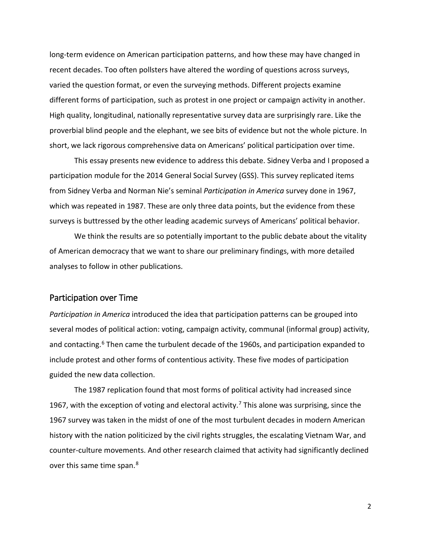long-term evidence on American participation patterns, and how these may have changed in recent decades. Too often pollsters have altered the wording of questions across surveys, varied the question format, or even the surveying methods. Different projects examine different forms of participation, such as protest in one project or campaign activity in another. High quality, longitudinal, nationally representative survey data are surprisingly rare. Like the proverbial blind people and the elephant, we see bits of evidence but not the whole picture. In short, we lack rigorous comprehensive data on Americans' political participation over time.

This essay presents new evidence to address this debate. Sidney Verba and I proposed a participation module for the 2014 General Social Survey (GSS). This survey replicated items from Sidney Verba and Norman Nie's seminal *Participation in America* survey done in 1967, which was repeated in 1987. These are only three data points, but the evidence from these surveys is buttressed by the other leading academic surveys of Americans' political behavior.

We think the results are so potentially important to the public debate about the vitality of American democracy that we want to share our preliminary findings, with more detailed analyses to follow in other publications.

## Participation over Time

*Participation in America* introduced the idea that participation patterns can be grouped into several modes of political action: voting, campaign activity, communal (informal group) activity, and contacting.<sup>[6](#page-14-5)</sup> Then came the turbulent decade of the 1960s, and participation expanded to include protest and other forms of contentious activity. These five modes of participation guided the new data collection.

The 1987 replication found that most forms of political activity had increased since 196[7](#page-14-6), with the exception of voting and electoral activity.<sup>7</sup> This alone was surprising, since the 1967 survey was taken in the midst of one of the most turbulent decades in modern American history with the nation politicized by the civil rights struggles, the escalating Vietnam War, and counter-culture movements. And other research claimed that activity had significantly declined over this same time span.<sup>[8](#page-14-7)</sup>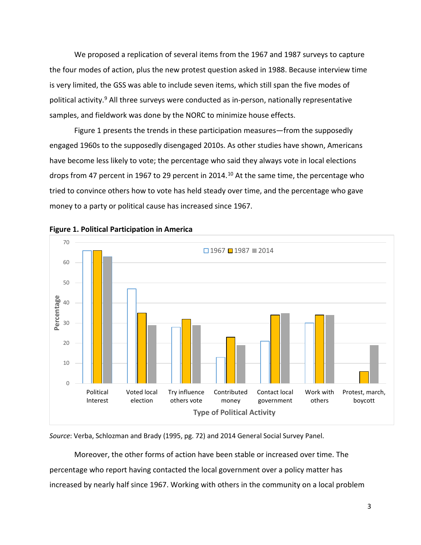We proposed a replication of several items from the 1967 and 1987 surveys to capture the four modes of action, plus the new protest question asked in 1988. Because interview time is very limited, the GSS was able to include seven items, which still span the five modes of political activity.<sup>[9](#page-14-8)</sup> All three surveys were conducted as in-person, nationally representative samples, and fieldwork was done by the NORC to minimize house effects.

Figure 1 presents the trends in these participation measures—from the supposedly engaged 1960s to the supposedly disengaged 2010s. As other studies have shown, Americans have become less likely to vote; the percentage who said they always vote in local elections drops from 47 percent in 1967 to 29 percent in 2014.<sup>[10](#page-14-9)</sup> At the same time, the percentage who tried to convince others how to vote has held steady over time, and the percentage who gave money to a party or political cause has increased since 1967.





*Source*: Verba, Schlozman and Brady (1995, pg. 72) and 2014 General Social Survey Panel.

Moreover, the other forms of action have been stable or increased over time. The percentage who report having contacted the local government over a policy matter has increased by nearly half since 1967. Working with others in the community on a local problem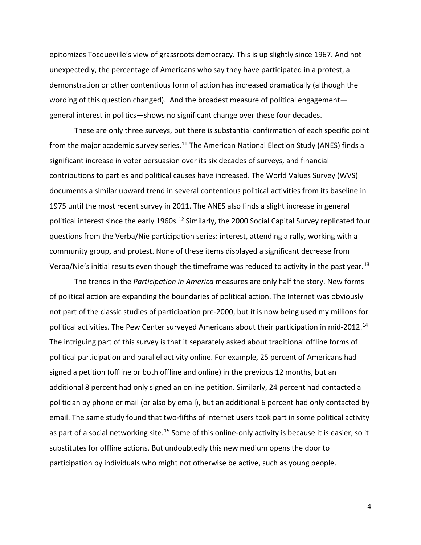epitomizes Tocqueville's view of grassroots democracy. This is up slightly since 1967. And not unexpectedly, the percentage of Americans who say they have participated in a protest, a demonstration or other contentious form of action has increased dramatically (although the wording of this question changed). And the broadest measure of political engagement general interest in politics—shows no significant change over these four decades.

These are only three surveys, but there is substantial confirmation of each specific point from the major academic survey series.<sup>11</sup> The American National Election Study (ANES) finds a significant increase in voter persuasion over its six decades of surveys, and financial contributions to parties and political causes have increased. The World Values Survey (WVS) documents a similar upward trend in several contentious political activities from its baseline in 1975 until the most recent survey in 2011. The ANES also finds a slight increase in general political interest since the early 1960s.<sup>[12](#page-14-11)</sup> Similarly, the 2000 Social Capital Survey replicated four questions from the Verba/Nie participation series: interest, attending a rally, working with a community group, and protest. None of these items displayed a significant decrease from Verba/Nie's initial results even though the timeframe was reduced to activity in the past year.<sup>[13](#page-14-12)</sup>

The trends in the *Participation in America* measures are only half the story. New forms of political action are expanding the boundaries of political action. The Internet was obviously not part of the classic studies of participation pre-2000, but it is now being used my millions for political activities. The Pew Center surveyed Americans about their participation in mid-2012.[14](#page-14-13) The intriguing part of this survey is that it separately asked about traditional offline forms of political participation and parallel activity online. For example, 25 percent of Americans had signed a petition (offline or both offline and online) in the previous 12 months, but an additional 8 percent had only signed an online petition. Similarly, 24 percent had contacted a politician by phone or mail (or also by email), but an additional 6 percent had only contacted by email. The same study found that two-fifths of internet users took part in some political activity as part of a social networking site.<sup>[15](#page-14-14)</sup> Some of this online-only activity is because it is easier, so it substitutes for offline actions. But undoubtedly this new medium opens the door to participation by individuals who might not otherwise be active, such as young people.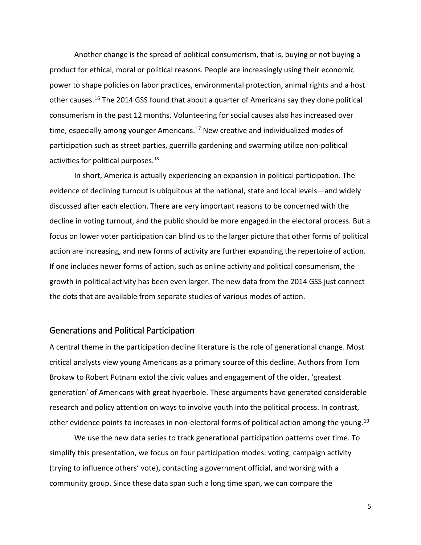Another change is the spread of political consumerism, that is, buying or not buying a product for ethical, moral or political reasons. People are increasingly using their economic power to shape policies on labor practices, environmental protection, animal rights and a host other causes.[16](#page-14-15) The 2014 GSS found that about a quarter of Americans say they done political consumerism in the past 12 months. Volunteering for social causes also has increased over time, especially among younger Americans.<sup>[17](#page-14-16)</sup> New creative and individualized modes of participation such as street parties, guerrilla gardening and swarming utilize non-political activities for political purposes. [18](#page-14-17)

In short, America is actually experiencing an expansion in political participation. The evidence of declining turnout is ubiquitous at the national, state and local levels—and widely discussed after each election. There are very important reasons to be concerned with the decline in voting turnout, and the public should be more engaged in the electoral process. But a focus on lower voter participation can blind us to the larger picture that other forms of political action are increasing, and new forms of activity are further expanding the repertoire of action. If one includes newer forms of action, such as online activity and political consumerism, the growth in political activity has been even larger. The new data from the 2014 GSS just connect the dots that are available from separate studies of various modes of action.

## Generations and Political Participation

A central theme in the participation decline literature is the role of generational change. Most critical analysts view young Americans as a primary source of this decline. Authors from Tom Brokaw to Robert Putnam extol the civic values and engagement of the older, 'greatest generation' of Americans with great hyperbole. These arguments have generated considerable research and policy attention on ways to involve youth into the political process. In contrast, other evidence points to increases in non-electoral forms of political action among the young.<sup>[19](#page-14-18)</sup>

We use the new data series to track generational participation patterns over time. To simplify this presentation, we focus on four participation modes: voting, campaign activity (trying to influence others' vote), contacting a government official, and working with a community group. Since these data span such a long time span, we can compare the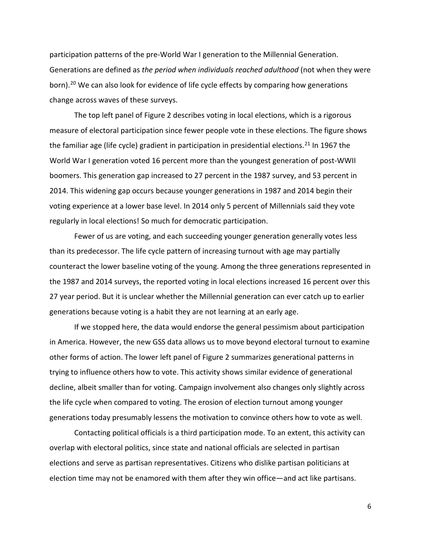participation patterns of the pre-World War I generation to the Millennial Generation. Generations are defined as *the period when individuals reached adulthood* (not when they were born).<sup>[20](#page-14-19)</sup> We can also look for evidence of life cycle effects by comparing how generations change across waves of these surveys.

The top left panel of Figure 2 describes voting in local elections, which is a rigorous measure of electoral participation since fewer people vote in these elections. The figure shows the familiar age (life cycle) gradient in participation in presidential elections.<sup>[21](#page-14-20)</sup> In 1967 the World War I generation voted 16 percent more than the youngest generation of post-WWII boomers. This generation gap increased to 27 percent in the 1987 survey, and 53 percent in 2014. This widening gap occurs because younger generations in 1987 and 2014 begin their voting experience at a lower base level. In 2014 only 5 percent of Millennials said they vote regularly in local elections! So much for democratic participation.

Fewer of us are voting, and each succeeding younger generation generally votes less than its predecessor. The life cycle pattern of increasing turnout with age may partially counteract the lower baseline voting of the young. Among the three generations represented in the 1987 and 2014 surveys, the reported voting in local elections increased 16 percent over this 27 year period. But it is unclear whether the Millennial generation can ever catch up to earlier generations because voting is a habit they are not learning at an early age.

If we stopped here, the data would endorse the general pessimism about participation in America. However, the new GSS data allows us to move beyond electoral turnout to examine other forms of action. The lower left panel of Figure 2 summarizes generational patterns in trying to influence others how to vote. This activity shows similar evidence of generational decline, albeit smaller than for voting. Campaign involvement also changes only slightly across the life cycle when compared to voting. The erosion of election turnout among younger generations today presumably lessens the motivation to convince others how to vote as well.

Contacting political officials is a third participation mode. To an extent, this activity can overlap with electoral politics, since state and national officials are selected in partisan elections and serve as partisan representatives. Citizens who dislike partisan politicians at election time may not be enamored with them after they win office—and act like partisans.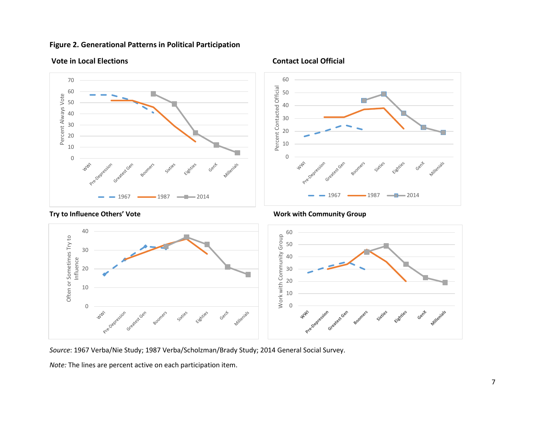# **Figure 2. Generational Patterns in Political Participation**



# **Vote in Local Elections Contact Local Official**



#### 40 60 Work with Community Group Often or Sometimes Try to<br>Influence Often or Sometimes Try to Work with Community Group 50 30 40 Influence20 30 20 10 10 0 0 **WW** Greatest Gen **WWW** Gent Sixties Eighties Gent Millenials Greatest Gen Pre-Dep Pre-Def

*Source*: 1967 Verba/Nie Study; 1987 Verba/Scholzman/Brady Study; 2014 General Social Survey.

*Note:* The lines are percent active on each participation item.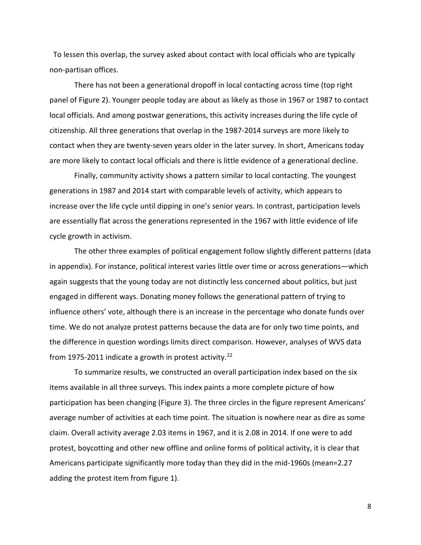To lessen this overlap, the survey asked about contact with local officials who are typically non-partisan offices.

There has not been a generational dropoff in local contacting across time (top right panel of Figure 2). Younger people today are about as likely as those in 1967 or 1987 to contact local officials. And among postwar generations, this activity increases during the life cycle of citizenship. All three generations that overlap in the 1987-2014 surveys are more likely to contact when they are twenty-seven years older in the later survey. In short, Americans today are more likely to contact local officials and there is little evidence of a generational decline.

Finally, community activity shows a pattern similar to local contacting. The youngest generations in 1987 and 2014 start with comparable levels of activity, which appears to increase over the life cycle until dipping in one's senior years. In contrast, participation levels are essentially flat across the generations represented in the 1967 with little evidence of life cycle growth in activism.

The other three examples of political engagement follow slightly different patterns (data in appendix). For instance, political interest varies little over time or across generations—which again suggests that the young today are not distinctly less concerned about politics, but just engaged in different ways. Donating money follows the generational pattern of trying to influence others' vote, although there is an increase in the percentage who donate funds over time. We do not analyze protest patterns because the data are for only two time points, and the difference in question wordings limits direct comparison. However, analyses of WVS data from 1975-2011 indicate a growth in protest activity.<sup>[22](#page-14-21)</sup>

To summarize results, we constructed an overall participation index based on the six items available in all three surveys. This index paints a more complete picture of how participation has been changing (Figure 3). The three circles in the figure represent Americans' average number of activities at each time point. The situation is nowhere near as dire as some claim. Overall activity average 2.03 items in 1967, and it is 2.08 in 2014. If one were to add protest, boycotting and other new offline and online forms of political activity, it is clear that Americans participate significantly more today than they did in the mid-1960s (mean=2.27 adding the protest item from figure 1).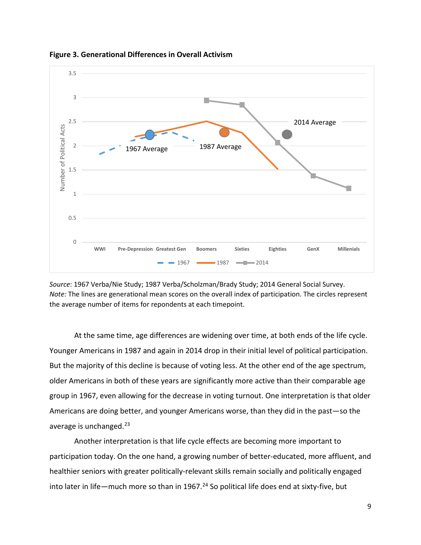

**Figure 3. Generational Differences in Overall Activism**

*Source*: 1967 Verba/Nie Study; 1987 Verba/Scholzman/Brady Study; 2014 General Social Survey. *Note:* The lines are generational mean scores on the overall index of participation. The circles represent the average number of items for repondents at each timepoint.

At the same time, age differences are widening over time, at both ends of the life cycle. Younger Americans in 1987 and again in 2014 drop in their initial level of political participation. But the majority of this decline is because of voting less. At the other end of the age spectrum, older Americans in both of these years are significantly more active than their comparable age group in 1967, even allowing for the decrease in voting turnout. One interpretation is that older Americans are doing better, and younger Americans worse, than they did in the past—so the average is unchanged.<sup>[23](#page-14-22)</sup>

Another interpretation is that life cycle effects are becoming more important to participation today. On the one hand, a growing number of better-educated, more affluent, and healthier seniors with greater politically-relevant skills remain socially and politically engaged into later in life—much more so than in 1967.<sup>[24](#page-14-23)</sup> So political life does end at sixty-five, but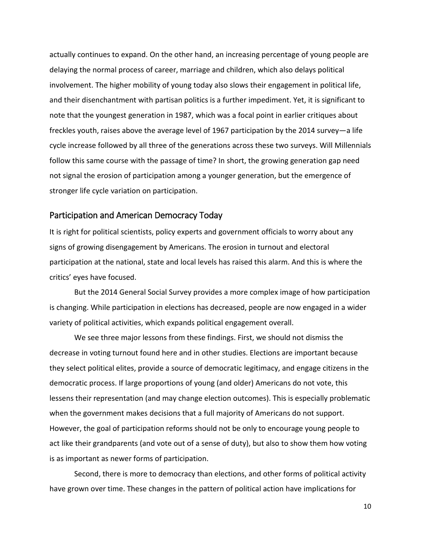actually continues to expand. On the other hand, an increasing percentage of young people are delaying the normal process of career, marriage and children, which also delays political involvement. The higher mobility of young today also slows their engagement in political life, and their disenchantment with partisan politics is a further impediment. Yet, it is significant to note that the youngest generation in 1987, which was a focal point in earlier critiques about freckles youth, raises above the average level of 1967 participation by the 2014 survey—a life cycle increase followed by all three of the generations across these two surveys. Will Millennials follow this same course with the passage of time? In short, the growing generation gap need not signal the erosion of participation among a younger generation, but the emergence of stronger life cycle variation on participation.

# Participation and American Democracy Today

It is right for political scientists, policy experts and government officials to worry about any signs of growing disengagement by Americans. The erosion in turnout and electoral participation at the national, state and local levels has raised this alarm. And this is where the critics' eyes have focused.

But the 2014 General Social Survey provides a more complex image of how participation is changing. While participation in elections has decreased, people are now engaged in a wider variety of political activities, which expands political engagement overall.

We see three major lessons from these findings. First, we should not dismiss the decrease in voting turnout found here and in other studies. Elections are important because they select political elites, provide a source of democratic legitimacy, and engage citizens in the democratic process. If large proportions of young (and older) Americans do not vote, this lessens their representation (and may change election outcomes). This is especially problematic when the government makes decisions that a full majority of Americans do not support. However, the goal of participation reforms should not be only to encourage young people to act like their grandparents (and vote out of a sense of duty), but also to show them how voting is as important as newer forms of participation.

Second, there is more to democracy than elections, and other forms of political activity have grown over time. These changes in the pattern of political action have implications for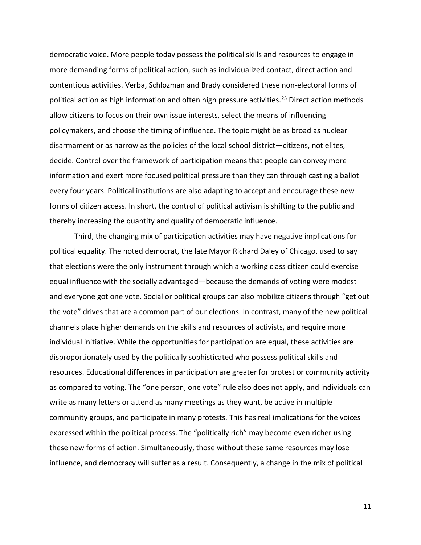democratic voice. More people today possess the political skills and resources to engage in more demanding forms of political action, such as individualized contact, direct action and contentious activities. Verba, Schlozman and Brady considered these non-electoral forms of political action as high information and often high pressure activities. [25](#page-14-24) Direct action methods allow citizens to focus on their own issue interests, select the means of influencing policymakers, and choose the timing of influence. The topic might be as broad as nuclear disarmament or as narrow as the policies of the local school district—citizens, not elites, decide. Control over the framework of participation means that people can convey more information and exert more focused political pressure than they can through casting a ballot every four years. Political institutions are also adapting to accept and encourage these new forms of citizen access. In short, the control of political activism is shifting to the public and thereby increasing the quantity and quality of democratic influence.

Third, the changing mix of participation activities may have negative implications for political equality. The noted democrat, the late Mayor Richard Daley of Chicago, used to say that elections were the only instrument through which a working class citizen could exercise equal influence with the socially advantaged—because the demands of voting were modest and everyone got one vote. Social or political groups can also mobilize citizens through "get out the vote" drives that are a common part of our elections. In contrast, many of the new political channels place higher demands on the skills and resources of activists, and require more individual initiative. While the opportunities for participation are equal, these activities are disproportionately used by the politically sophisticated who possess political skills and resources. Educational differences in participation are greater for protest or community activity as compared to voting. The "one person, one vote" rule also does not apply, and individuals can write as many letters or attend as many meetings as they want, be active in multiple community groups, and participate in many protests. This has real implications for the voices expressed within the political process. The "politically rich" may become even richer using these new forms of action. Simultaneously, those without these same resources may lose influence, and democracy will suffer as a result. Consequently, a change in the mix of political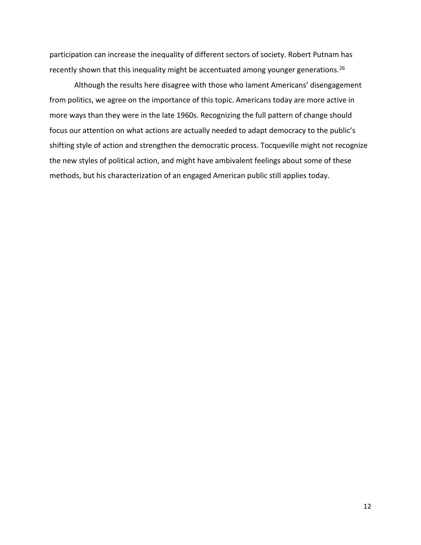participation can increase the inequality of different sectors of society. Robert Putnam has recently shown that this inequality might be accentuated among younger generations.<sup>[26](#page-14-25)</sup>

Although the results here disagree with those who lament Americans' disengagement from politics, we agree on the importance of this topic. Americans today are more active in more ways than they were in the late 1960s. Recognizing the full pattern of change should focus our attention on what actions are actually needed to adapt democracy to the public's shifting style of action and strengthen the democratic process. Tocqueville might not recognize the new styles of political action, and might have ambivalent feelings about some of these methods, but his characterization of an engaged American public still applies today.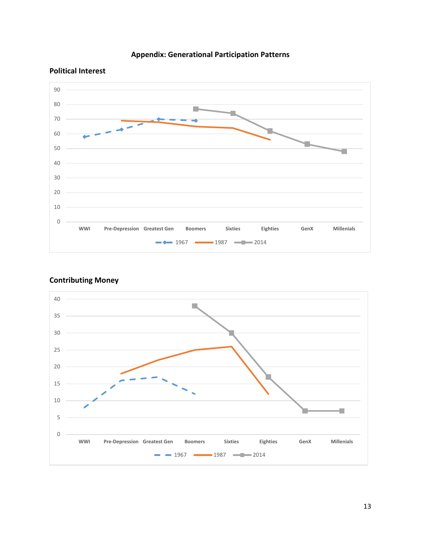



### **Political Interest**



# **Contributing Money**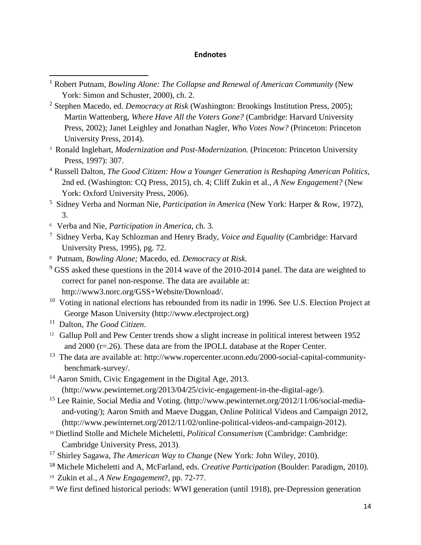## **Endnotes**

- <sup>1</sup> Robert Putnam, *Bowling Alone: The Collapse and Renewal of American Community* (New York: Simon and Schuster, 2000), ch. 2.
- <sup>2</sup> Stephen Macedo, ed. *Democracy at Risk* (Washington: Brookings Institution Press, 2005); Martin Wattenberg, *Where Have All the Voters Gone?* (Cambridge: Harvard University Press, 2002); Janet Leighley and Jonathan Nagler, *Who Votes Now?* (Princeton: Princeton University Press, 2014).
- <sup>3</sup> Ronald Inglehart, *Modernization and Post-Modernization*. (Princeton: Princeton University Press, 1997): 307.
- <sup>4</sup> Russell Dalton, *The Good Citizen: How a Younger Generation is Reshaping American Politics,* 2nd ed. (Washington: CQ Press, 2015), ch. 4; Cliff Zukin et al., *A New Engagement?* (New York: Oxford University Press, 2006).
- <sup>5</sup> Sidney Verba and Norman Nie, *Participation in America* (New York: Harper & Row, 1972), 3.
- 6 Verba and Nie, *Participation in America,* ch. 3.
- <sup>7</sup> Sidney Verba, Kay Schlozman and Henry Brady, *Voice and Equality* (Cambridge: Harvard University Press, 1995), pg. 72.
- 8 Putnam, *Bowling Alone;* Macedo, ed. *Democracy at Risk.*
- $9$  GSS asked these questions in the 2014 wave of the 2010-2014 panel. The data are weighted to correct for panel non-response. The data are available at: http://www3.norc.org/GSS+Website/Download/.
- <sup>10</sup> Voting in national elections has rebounded from its nadir in 1996. See U.S. Election Project at George Mason University (http://www.electproject.org)
- <sup>11</sup> Dalton, *The Good Citizen*.

 $\overline{\phantom{a}}$ 

- <sup>12</sup> Gallup Poll and Pew Center trends show a slight increase in political interest between 1952 and 2000 (r=.26). These data are from the IPOLL database at the Roper Center.
- <sup>13</sup> The data are available at: http://www.ropercenter.uconn.edu/2000-social-capital-communitybenchmark-survey/.<br><sup>14</sup> Aaron Smith, Civic Engagement in the Digital Age, 2013.
- (http://www.pewinternet.org/2013/04/25/civic-engagement-in-the-digital-age/).
- <sup>15</sup> Lee Rainie, Social Media and Voting. (http://www.pewinternet.org/2012/11/06/social-mediaand-voting/); Aaron Smith and Maeve Duggan, Online Political Videos and Campaign 2012, (http://www.pewinternet.org/2012/11/02/online-political-videos-and-campaign-2012).
- <sup>16</sup> Dietlind Stolle and Michele Micheletti, *Political Consumerism* (Cambridge: Cambridge: Cambridge University Press, 2013).
- <sup>17</sup> Shirley Sagawa, *The American Way to Change* (New York: John Wiley, 2010).
- <sup>18</sup> Michele Micheletti and A, McFarland, eds. *Creative Participation* (Boulder: Paradigm, 2010).
- 19 Zukin et al., *A New Engagement*?, pp*.* 72-77.
- <sup>20</sup> We first defined historical periods: WWI generation (until 1918), pre-Depression generation